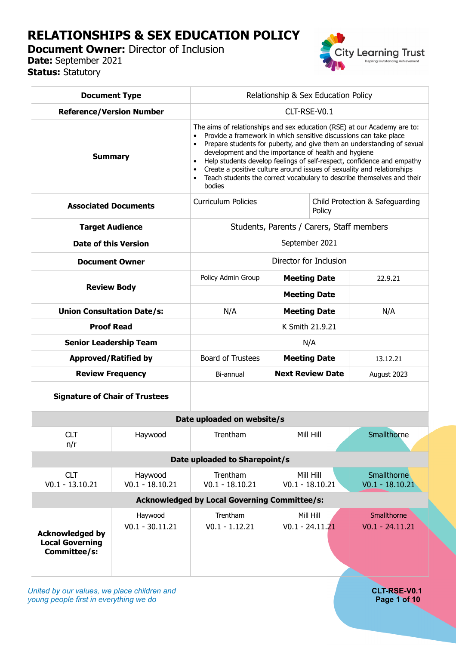# **RELATIONSHIPS & SEX EDUCATION POLICY**

**Document Owner: Director of Inclusion Date:** September 2021

**Status:** Statutory



| <b>Document Type</b>                                             |                                       | Relationship & Sex Education Policy                                                                                                                                                                                                                                                                                                                                                                                                                                                                                     |                                 |                                  |
|------------------------------------------------------------------|---------------------------------------|-------------------------------------------------------------------------------------------------------------------------------------------------------------------------------------------------------------------------------------------------------------------------------------------------------------------------------------------------------------------------------------------------------------------------------------------------------------------------------------------------------------------------|---------------------------------|----------------------------------|
| <b>Reference/Version Number</b>                                  |                                       | CLT-RSE-V0.1                                                                                                                                                                                                                                                                                                                                                                                                                                                                                                            |                                 |                                  |
| <b>Summary</b>                                                   |                                       | The aims of relationships and sex education (RSE) at our Academy are to:<br>Provide a framework in which sensitive discussions can take place<br>Prepare students for puberty, and give them an understanding of sexual<br>development and the importance of health and hygiene<br>Help students develop feelings of self-respect, confidence and empathy<br>Create a positive culture around issues of sexuality and relationships<br>Teach students the correct vocabulary to describe themselves and their<br>bodies |                                 |                                  |
| <b>Associated Documents</b>                                      |                                       | <b>Curriculum Policies</b>                                                                                                                                                                                                                                                                                                                                                                                                                                                                                              | Child Protection & Safeguarding |                                  |
| <b>Target Audience</b>                                           |                                       | Students, Parents / Carers, Staff members                                                                                                                                                                                                                                                                                                                                                                                                                                                                               |                                 |                                  |
| <b>Date of this Version</b>                                      |                                       | September 2021                                                                                                                                                                                                                                                                                                                                                                                                                                                                                                          |                                 |                                  |
| <b>Document Owner</b>                                            |                                       | Director for Inclusion                                                                                                                                                                                                                                                                                                                                                                                                                                                                                                  |                                 |                                  |
| <b>Review Body</b>                                               |                                       | Policy Admin Group                                                                                                                                                                                                                                                                                                                                                                                                                                                                                                      | <b>Meeting Date</b>             | 22.9.21                          |
|                                                                  |                                       |                                                                                                                                                                                                                                                                                                                                                                                                                                                                                                                         | <b>Meeting Date</b>             |                                  |
| <b>Union Consultation Date/s:</b>                                |                                       | N/A                                                                                                                                                                                                                                                                                                                                                                                                                                                                                                                     | <b>Meeting Date</b>             | N/A                              |
| <b>Proof Read</b>                                                |                                       | K Smith 21.9.21                                                                                                                                                                                                                                                                                                                                                                                                                                                                                                         |                                 |                                  |
| <b>Senior Leadership Team</b>                                    |                                       | N/A                                                                                                                                                                                                                                                                                                                                                                                                                                                                                                                     |                                 |                                  |
| <b>Approved/Ratified by</b>                                      |                                       | <b>Board of Trustees</b>                                                                                                                                                                                                                                                                                                                                                                                                                                                                                                | <b>Meeting Date</b>             | 13.12.21                         |
| <b>Review Frequency</b>                                          |                                       | Bi-annual                                                                                                                                                                                                                                                                                                                                                                                                                                                                                                               | <b>Next Review Date</b>         | August 2023                      |
|                                                                  | <b>Signature of Chair of Trustees</b> |                                                                                                                                                                                                                                                                                                                                                                                                                                                                                                                         |                                 |                                  |
|                                                                  |                                       | Date uploaded on website/s                                                                                                                                                                                                                                                                                                                                                                                                                                                                                              |                                 |                                  |
| <b>CLT</b><br>n/r                                                | Haywood                               | Trentham                                                                                                                                                                                                                                                                                                                                                                                                                                                                                                                | Mill Hill                       | Smallthorne                      |
|                                                                  |                                       | Date uploaded to Sharepoint/s                                                                                                                                                                                                                                                                                                                                                                                                                                                                                           |                                 |                                  |
| <b>CLT</b><br>$V0.1 - 13.10.21$                                  | Haywood<br>$V0.1 - 18.10.21$          | Trentham<br>$V0.1 - 18.10.21$                                                                                                                                                                                                                                                                                                                                                                                                                                                                                           | Mill Hill<br>$V0.1 - 18.10.21$  | Smallthorne<br>$V0.1 - 18.10.21$ |
|                                                                  |                                       | <b>Acknowledged by Local Governing Committee/s:</b>                                                                                                                                                                                                                                                                                                                                                                                                                                                                     |                                 |                                  |
| <b>Acknowledged by</b><br><b>Local Governing</b><br>Committee/s: | Haywood<br>$V0.1 - 30.11.21$          | Trentham<br>$V0.1 - 1.12.21$                                                                                                                                                                                                                                                                                                                                                                                                                                                                                            | Mill Hill<br>$V0.1 - 24.11.21$  | Smallthorne<br>$V0.1 - 24.11.21$ |

*United by our values, we place children and* **CLT-RSE-V0.1**<br> **CLT-RSE-V0.1**<br> **CLT-RSE-V0.1 CLT-RSE-V0.1** *young people first in everything we do*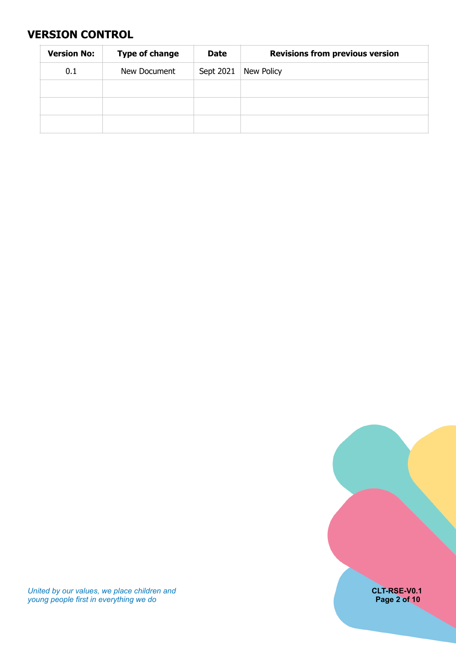## <span id="page-1-0"></span>**VERSION CONTROL**

| <b>Version No:</b> | <b>Type of change</b> | <b>Date</b> | <b>Revisions from previous version</b> |
|--------------------|-----------------------|-------------|----------------------------------------|
| 0.1                | New Document          | Sept 2021   | New Policy                             |
|                    |                       |             |                                        |
|                    |                       |             |                                        |
|                    |                       |             |                                        |



*United by our values, we place children and* **CLT-RSE-V0.1** *young people first in everything we do* **Page 2 of 10**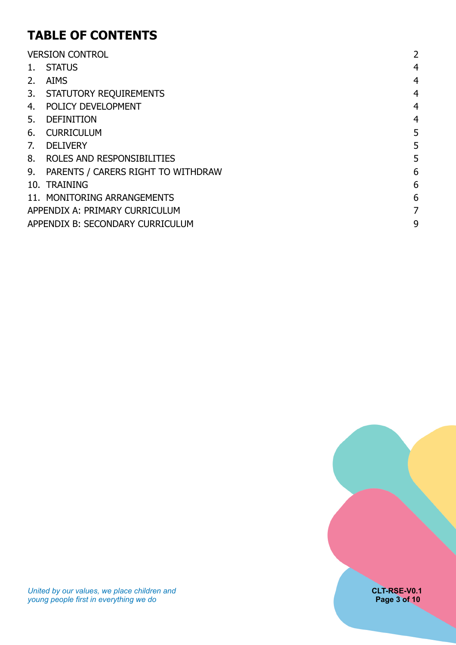# **TABLE OF CONTENTS**

|    | <b>VERSION CONTROL</b>                | 2              |
|----|---------------------------------------|----------------|
| 1. | <b>STATUS</b>                         | 4              |
| 2. | <b>AIMS</b>                           | 4              |
|    | 3. STATUTORY REQUIREMENTS             | 4              |
| 4. | POLICY DEVELOPMENT                    | $\overline{4}$ |
| 5. | <b>DEFINITION</b>                     | 4              |
| 6. | <b>CURRICULUM</b>                     | 5              |
| 7. | <b>DELIVERY</b>                       | 5              |
| 8. | ROLES AND RESPONSIBILITIES            | 5              |
|    | 9. PARENTS / CARERS RIGHT TO WITHDRAW | 6              |
|    | 10. TRAINING                          | 6              |
|    | 11. MONITORING ARRANGEMENTS           | 6              |
|    | APPENDIX A: PRIMARY CURRICULUM        | 7              |
|    | APPENDIX B: SECONDARY CURRICULUM      | 9              |

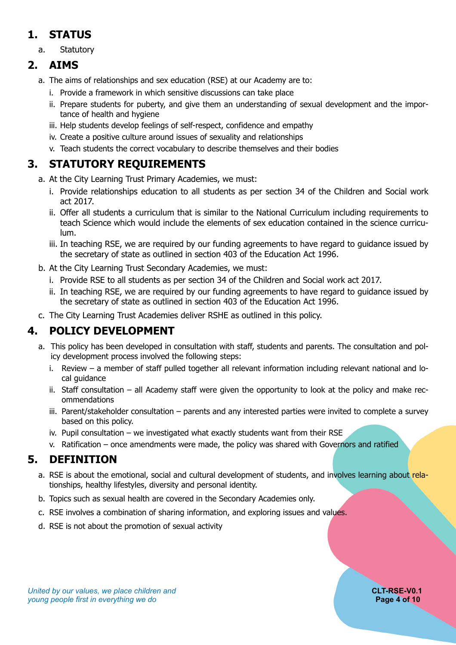## <span id="page-3-0"></span>**1. STATUS**

a. Statutory

## **2. AIMS**

- <span id="page-3-1"></span>a. The aims of relationships and sex education (RSE) at our Academy are to:
	- i. Provide a framework in which sensitive discussions can take place
	- ii. Prepare students for puberty, and give them an understanding of sexual development and the importance of health and hygiene
	- iii. Help students develop feelings of self-respect, confidence and empathy
	- iv. Create a positive culture around issues of sexuality and relationships
	- v. Teach students the correct vocabulary to describe themselves and their bodies

# **3. STATUTORY REQUIREMENTS**

- <span id="page-3-2"></span>a. At the City Learning Trust Primary Academies, we must:
	- i. Provide relationships education to all students as per section 34 of the Children and Social work act 2017.
	- ii. Offer all students a curriculum that is similar to the National Curriculum including requirements to teach Science which would include the elements of sex education contained in the science curriculum.
	- iii. In teaching RSE, we are required by our funding agreements to have regard to guidance issued by the secretary of state as outlined in section 403 of the Education Act 1996.
- b. At the City Learning Trust Secondary Academies, we must:
	- i. Provide RSE to all students as per section 34 of the Children and Social work act 2017.
	- ii. In teaching RSE, we are required by our funding agreements to have regard to guidance issued by the secretary of state as outlined in section 403 of the Education Act 1996.
- <span id="page-3-3"></span>c. The City Learning Trust Academies deliver RSHE as outlined in this policy.

## **4. POLICY DEVELOPMENT**

- a. This policy has been developed in consultation with staff, students and parents. The consultation and policy development process involved the following steps:
	- i. Review a member of staff pulled together all relevant information including relevant national and local guidance
	- ii. Staff consultation all Academy staff were given the opportunity to look at the policy and make recommendations
	- iii. Parent/stakeholder consultation parents and any interested parties were invited to complete a survey based on this policy.
	- iv. Pupil consultation we investigated what exactly students want from their RSE
	- v. Ratification once amendments were made, the policy was shared with Governors and ratified

## **5. DEFINITION**

- <span id="page-3-4"></span>a. RSE is about the emotional, social and cultural development of students, and involves learning about relationships, healthy lifestyles, diversity and personal identity.
- b. Topics such as sexual health are covered in the Secondary Academies only.
- c. RSE involves a combination of sharing information, and exploring issues and values.
- d. RSE is not about the promotion of sexual activity

### **United by our values, we place children and <b>CLT-RSE-V0.1 CLT-RSE-V0.1** *young people first in everything we do* **Page 4 of 10**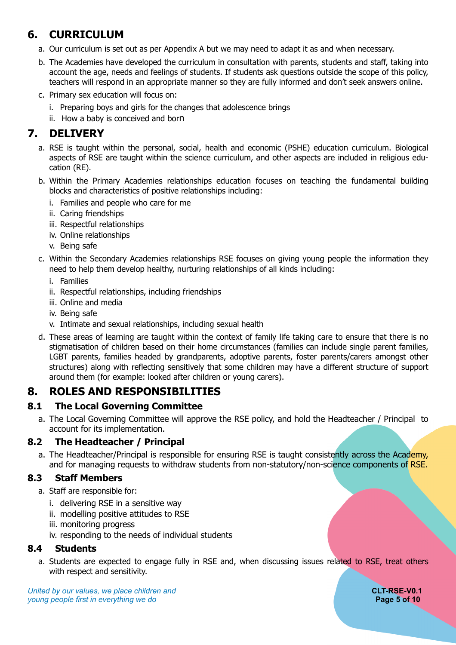# **6. CURRICULUM**

- <span id="page-4-0"></span>a. Our curriculum is set out as per Appendix A but we may need to adapt it as and when necessary.
- b. The Academies have developed the curriculum in consultation with parents, students and staff, taking into account the age, needs and feelings of students. If students ask questions outside the scope of this policy, teachers will respond in an appropriate manner so they are fully informed and don't seek answers online.
- c. Primary sex education will focus on:
	- i. Preparing boys and girls for the changes that adolescence brings
	- ii. How a baby is conceived and born

## **7. DELIVERY**

- <span id="page-4-1"></span>a. RSE is taught within the personal, social, health and economic (PSHE) education curriculum. Biological aspects of RSE are taught within the science curriculum, and other aspects are included in religious education (RE).
- b. Within the Primary Academies relationships education focuses on teaching the fundamental building blocks and characteristics of positive relationships including:
	- i. Families and people who care for me
	- ii. Caring friendships
	- iii. Respectful relationships
	- iv. Online relationships
	- v. Being safe
- c. Within the Secondary Academies relationships RSE focuses on giving young people the information they need to help them develop healthy, nurturing relationships of all kinds including:
	- i. Families
	- ii. Respectful relationships, including friendships
	- iii. Online and media
	- iv. Being safe
	- v. Intimate and sexual relationships, including sexual health
- d. These areas of learning are taught within the context of family life taking care to ensure that there is no stigmatisation of children based on their home circumstances (families can include single parent families, LGBT parents, families headed by grandparents, adoptive parents, foster parents/carers amongst other structures) along with reflecting sensitively that some children may have a different structure of support around them (for example: looked after children or young carers).

## <span id="page-4-2"></span>**8. ROLES AND RESPONSIBILITIES**

### **8.1 The Local Governing Committee**

a. The Local Governing Committee will approve the RSE policy, and hold the Headteacher / Principal to account for its implementation.

### **8.2 The Headteacher / Principal**

a. The Headteacher/Principal is responsible for ensuring RSE is taught consistently across the Academy, and for managing requests to withdraw students from non-statutory/non-science components of RSE.

### **8.3 Staff Members**

- a. Staff are responsible for:
	- i. delivering RSE in a sensitive way
	- ii. modelling positive attitudes to RSE
	- iii. monitoring progress
	- iv. responding to the needs of individual students

### **8.4 Students**

a. Students are expected to engage fully in RSE and, when discussing issues related to RSE, treat others with respect and sensitivity.

**United by our values, we place children and <b>CLT-RSE-V0.1 CLT-RSE-V0.1** *young people first in everything we do* **Page 5 of 10**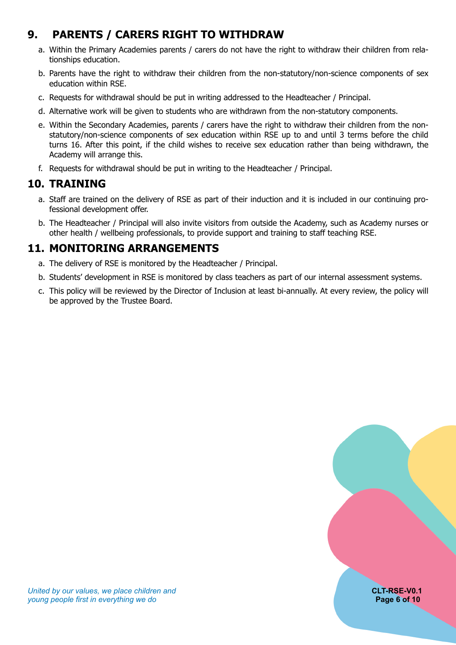# **9. PARENTS / CARERS RIGHT TO WITHDRAW**

- <span id="page-5-0"></span>a. Within the Primary Academies parents / carers do not have the right to withdraw their children from relationships education.
- b. Parents have the right to withdraw their children from the non-statutory/non-science components of sex education within RSE.
- c. Requests for withdrawal should be put in writing addressed to the Headteacher / Principal.
- d. Alternative work will be given to students who are withdrawn from the non-statutory components.
- e. Within the Secondary Academies, parents / carers have the right to withdraw their children from the nonstatutory/non-science components of sex education within RSE up to and until 3 terms before the child turns 16. After this point, if the child wishes to receive sex education rather than being withdrawn, the Academy will arrange this.
- <span id="page-5-1"></span>f. Requests for withdrawal should be put in writing to the Headteacher / Principal.

## **10. TRAINING**

- a. Staff are trained on the delivery of RSE as part of their induction and it is included in our continuing professional development offer.
- b. The Headteacher / Principal will also invite visitors from outside the Academy, such as Academy nurses or other health / wellbeing professionals, to provide support and training to staff teaching RSE.

## **11. MONITORING ARRANGEMENTS**

- <span id="page-5-2"></span>a. The delivery of RSE is monitored by the Headteacher / Principal.
- b. Students' development in RSE is monitored by class teachers as part of our internal assessment systems.
- c. This policy will be reviewed by the Director of Inclusion at least bi-annually. At every review, the policy will be approved by the Trustee Board.

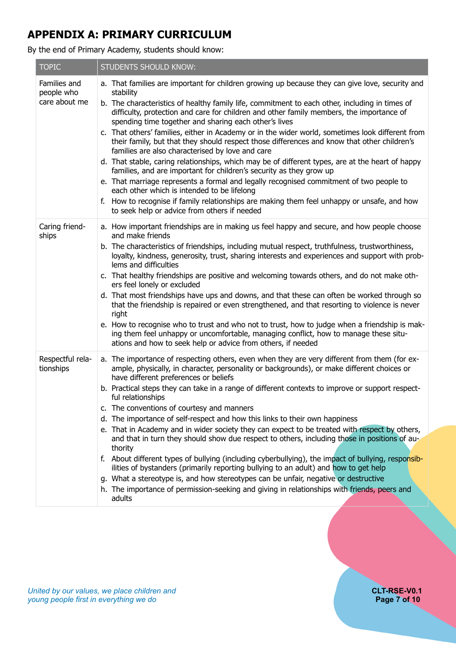# <span id="page-6-0"></span>**APPENDIX A: PRIMARY CURRICULUM**

By the end of Primary Academy, students should know:

| <b>TOPIC</b>                                | <b>STUDENTS SHOULD KNOW:</b>                                                                                                                                                                                                                                                                                                                                                                                                                                                                                                                                                                                                                                                                                                                                                                                                                                                                                                                                                                                                                                                                        |
|---------------------------------------------|-----------------------------------------------------------------------------------------------------------------------------------------------------------------------------------------------------------------------------------------------------------------------------------------------------------------------------------------------------------------------------------------------------------------------------------------------------------------------------------------------------------------------------------------------------------------------------------------------------------------------------------------------------------------------------------------------------------------------------------------------------------------------------------------------------------------------------------------------------------------------------------------------------------------------------------------------------------------------------------------------------------------------------------------------------------------------------------------------------|
| Families and<br>people who<br>care about me | a. That families are important for children growing up because they can give love, security and<br>stability<br>b. The characteristics of healthy family life, commitment to each other, including in times of<br>difficulty, protection and care for children and other family members, the importance of<br>spending time together and sharing each other's lives<br>c. That others' families, either in Academy or in the wider world, sometimes look different from<br>their family, but that they should respect those differences and know that other children's<br>families are also characterised by love and care<br>d. That stable, caring relationships, which may be of different types, are at the heart of happy<br>families, and are important for children's security as they grow up<br>e. That marriage represents a formal and legally recognised commitment of two people to<br>each other which is intended to be lifelong<br>f. How to recognise if family relationships are making them feel unhappy or unsafe, and how<br>to seek help or advice from others if needed      |
| Caring friend-<br>ships                     | a. How important friendships are in making us feel happy and secure, and how people choose<br>and make friends<br>b. The characteristics of friendships, including mutual respect, truthfulness, trustworthiness,<br>loyalty, kindness, generosity, trust, sharing interests and experiences and support with prob-<br>lems and difficulties<br>c. That healthy friendships are positive and welcoming towards others, and do not make oth-<br>ers feel lonely or excluded<br>d. That most friendships have ups and downs, and that these can often be worked through so<br>that the friendship is repaired or even strengthened, and that resorting to violence is never<br>right<br>e. How to recognise who to trust and who not to trust, how to judge when a friendship is mak-<br>ing them feel unhappy or uncomfortable, managing conflict, how to manage these situ-<br>ations and how to seek help or advice from others, if needed                                                                                                                                                         |
| Respectful rela-<br>tionships               | a. The importance of respecting others, even when they are very different from them (for ex-<br>ample, physically, in character, personality or backgrounds), or make different choices or<br>have different preferences or beliefs<br>b. Practical steps they can take in a range of different contexts to improve or support respect-<br>ful relationships<br>c. The conventions of courtesy and manners<br>d. The importance of self-respect and how this links to their own happiness<br>e. That in Academy and in wider society they can expect to be treated with respect by others,<br>and that in turn they should show due respect to others, including those in positions of au-<br>thority<br>f. About different types of bullying (including cyberbullying), the impact of bullying, responsib-<br>ilities of bystanders (primarily reporting bullying to an adult) and how to get help<br>g. What a stereotype is, and how stereotypes can be unfair, negative or destructive<br>h. The importance of permission-seeking and giving in relationships with friends, peers and<br>adults |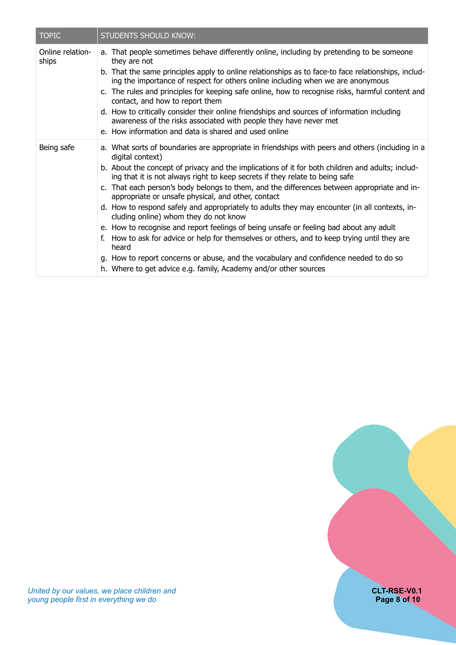| <b>TOPIC</b>              | <b>STUDENTS SHOULD KNOW:</b>                                                                                                                                                                                                                                                                                                                                                                                                                                                                                                                                                                                                                                                                                                                                                                                                                                                                                                                                            |
|---------------------------|-------------------------------------------------------------------------------------------------------------------------------------------------------------------------------------------------------------------------------------------------------------------------------------------------------------------------------------------------------------------------------------------------------------------------------------------------------------------------------------------------------------------------------------------------------------------------------------------------------------------------------------------------------------------------------------------------------------------------------------------------------------------------------------------------------------------------------------------------------------------------------------------------------------------------------------------------------------------------|
| Online relation-<br>ships | a. That people sometimes behave differently online, including by pretending to be someone<br>they are not<br>b. That the same principles apply to online relationships as to face-to face relationships, includ-<br>ing the importance of respect for others online including when we are anonymous<br>c. The rules and principles for keeping safe online, how to recognise risks, harmful content and<br>contact, and how to report them<br>d. How to critically consider their online friendships and sources of information including<br>awareness of the risks associated with people they have never met<br>e. How information and data is shared and used online                                                                                                                                                                                                                                                                                                 |
| Being safe                | a. What sorts of boundaries are appropriate in friendships with peers and others (including in a<br>digital context)<br>b. About the concept of privacy and the implications of it for both children and adults; includ-<br>ing that it is not always right to keep secrets if they relate to being safe<br>c. That each person's body belongs to them, and the differences between appropriate and in-<br>appropriate or unsafe physical, and other, contact<br>d. How to respond safely and appropriately to adults they may encounter (in all contexts, in-<br>cluding online) whom they do not know<br>e. How to recognise and report feelings of being unsafe or feeling bad about any adult<br>f. How to ask for advice or help for themselves or others, and to keep trying until they are<br>heard<br>g. How to report concerns or abuse, and the vocabulary and confidence needed to do so<br>h. Where to get advice e.g. family, Academy and/or other sources |

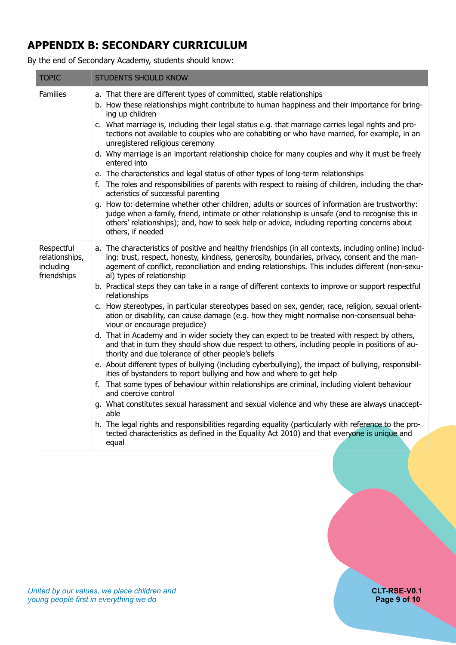# <span id="page-8-0"></span>**APPENDIX B: SECONDARY CURRICULUM**

By the end of Secondary Academy, students should know:

| <b>TOPIC</b>                                             | <b>STUDENTS SHOULD KNOW</b>                                                                                                                                                                                                                                                                                                                                                                                                                                                                                                                                                                                                                                                                                                                                                                                                                                                                                                                                                                                                                                                                                                                                                                                                                                                                                                                                                                                                                                                                                                                                                                    |
|----------------------------------------------------------|------------------------------------------------------------------------------------------------------------------------------------------------------------------------------------------------------------------------------------------------------------------------------------------------------------------------------------------------------------------------------------------------------------------------------------------------------------------------------------------------------------------------------------------------------------------------------------------------------------------------------------------------------------------------------------------------------------------------------------------------------------------------------------------------------------------------------------------------------------------------------------------------------------------------------------------------------------------------------------------------------------------------------------------------------------------------------------------------------------------------------------------------------------------------------------------------------------------------------------------------------------------------------------------------------------------------------------------------------------------------------------------------------------------------------------------------------------------------------------------------------------------------------------------------------------------------------------------------|
| <b>Families</b>                                          | a. That there are different types of committed, stable relationships<br>b. How these relationships might contribute to human happiness and their importance for bring-<br>ing up children<br>c. What marriage is, including their legal status e.g. that marriage carries legal rights and pro-<br>tections not available to couples who are cohabiting or who have married, for example, in an<br>unregistered religious ceremony<br>d. Why marriage is an important relationship choice for many couples and why it must be freely<br>entered into<br>e. The characteristics and legal status of other types of long-term relationships<br>f. The roles and responsibilities of parents with respect to raising of children, including the char-<br>acteristics of successful parenting<br>g. How to: determine whether other children, adults or sources of information are trustworthy:<br>judge when a family, friend, intimate or other relationship is unsafe (and to recognise this in<br>others' relationships); and, how to seek help or advice, including reporting concerns about<br>others, if needed                                                                                                                                                                                                                                                                                                                                                                                                                                                                             |
| Respectful<br>relationships,<br>including<br>friendships | a. The characteristics of positive and healthy friendships (in all contexts, including online) includ-<br>ing: trust, respect, honesty, kindness, generosity, boundaries, privacy, consent and the man-<br>agement of conflict, reconciliation and ending relationships. This includes different (non-sexu-<br>al) types of relationship<br>b. Practical steps they can take in a range of different contexts to improve or support respectful<br>relationships<br>c. How stereotypes, in particular stereotypes based on sex, gender, race, religion, sexual orient-<br>ation or disability, can cause damage (e.g. how they might normalise non-consensual beha-<br>viour or encourage prejudice)<br>d. That in Academy and in wider society they can expect to be treated with respect by others,<br>and that in turn they should show due respect to others, including people in positions of au-<br>thority and due tolerance of other people's beliefs<br>e. About different types of bullying (including cyberbullying), the impact of bullying, responsibil-<br>ities of bystanders to report bullying and how and where to get help<br>f. That some types of behaviour within relationships are criminal, including violent behaviour<br>and coercive control<br>g. What constitutes sexual harassment and sexual violence and why these are always unaccept-<br>able<br>h. The legal rights and responsibilities regarding equality (particularly with reference to the pro-<br>tected characteristics as defined in the Equality Act 2010) and that everyone is unique and<br>equal |